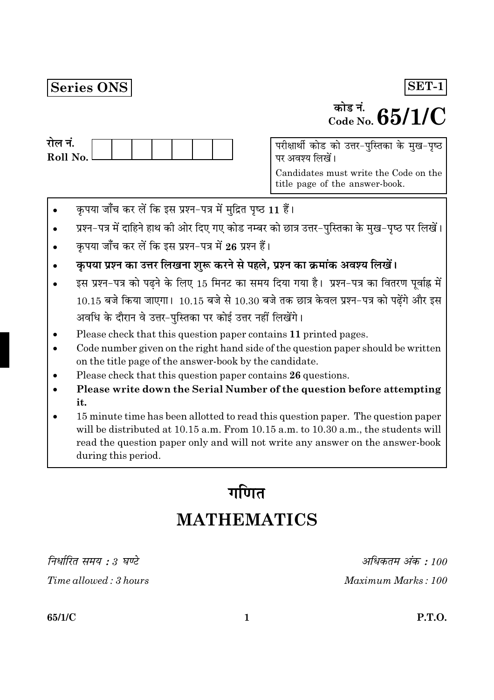### Series ONS

# <sup>कोड नं.</sup>  $65/1/C$

SET-1

| राल न.     |  |  |  |  |
|------------|--|--|--|--|
| Roll No. l |  |  |  |  |
|            |  |  |  |  |

परीक्षार्थी कोड को उत्तर-पुस्तिका के मुख-पृष्ठ पर अवश्य लिखें।

Candidates must write the Code on the title page of the answer-book.

- कृपया जाँच कर लें कि इस प्रश्न-पत्र में मुद्रित पृष्ठ 11 हैं।
- प्रश्न-पत्र में दाहिने हाथ की ओर दिए गए कोड नम्बर को छात्र उत्तर-पुस्तिका के मुख-पृष्ठ पर लिखें।
- कपया जाँच कर लें कि इस प्रश्न-पत्र में 26 प्रश्न हैं।
- कृपया प्रश्न का उत्तर लिखना शुरू करने से पहले, प्रश्न का क्रमांक अवश्य लिखें।
- इस प्रश्न-पत्र को पढ़ने के लिए 15 मिनट का समय दिया गया है। प्रश्न-पत्र का वितरण पूर्वाह्न में  $10.15$  बजे किया जाएगा।  $10.15$  बजे से  $10.30$  बजे तक छात्र केवल प्रश्न-पत्र को पढ़ेंगे और इस अवधि के दौरान वे उत्तर-पुस्तिका पर कोई उत्तर नहीं लिखेंगे।
- Please check that this question paper contains 11 printed pages.
- Code number given on the right hand side of the question paper should be written on the title page of the answer-book by the candidate.
- Please check that this question paper contains 26 questions.
- Please write down the Serial Number of the question before attempting it.
- 15 minute time has been allotted to read this question paper. The question paper will be distributed at 10.15 a.m. From 10.15 a.m. to 10.30 a.m., the students will read the question paper only and will not write any answer on the answer-book during this period.

# गणित **MATHEMATICS**

निर्धारित समय : 3 घण्टे

Time allowed: 3 hours

अधिकतम अंक : 100 Maximum Marks: 100

65/1/C

**P.T.O.**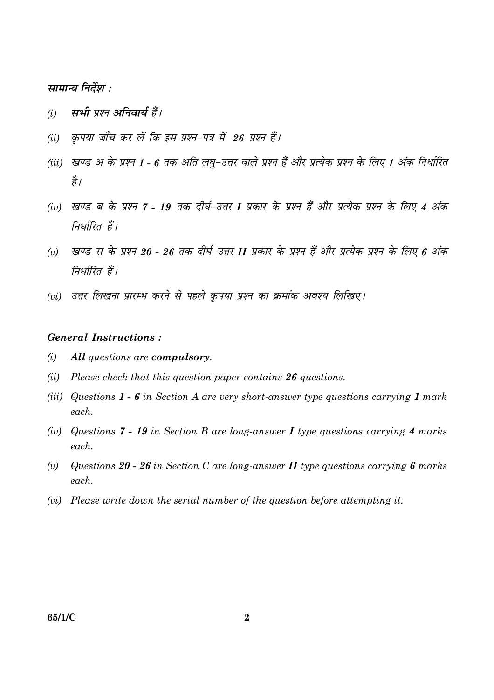#### सामान्य निर्देश :

- सभी प्रश्न अनिवार्य हैं।  $(i)$
- कपया जाँच कर लें कि इस प्रश्न-पत्र में 26 प्रश्न हैं।  $(ii)$
- (iii) खण्ड अ के प्रश्न 1 6 तक अति लघु-उत्तर वाले प्रश्न हैं और प्रत्येक प्रश्न के लिए 1 अंक निर्धारित है।
- (iv) खण्ड ब के प्रश्न 7 19 तक दीर्घ-उत्तर I प्रकार के प्रश्न हैं और प्रत्येक प्रश्न के लिए 4 अंक निर्धारित हैं।
- खण्ड स के प्रश्न 20 26 तक दीर्घ-उत्तर II प्रकार के प्रश्न हैं और प्रत्येक प्रश्न के लिए 6 अंक  $(v)$ निर्धारित हैं।
- (vi) उत्तर लिखना प्रारम्भ करने से पहले कपया प्रश्न का क्रमांक अवश्य लिखिए।

#### **General Instructions:**

- $(i)$ All questions are compulsory.
- (ii) Please check that this question paper contains  $26$  questions.
- (iii) Questions  $1 6$  in Section A are very short-answer type questions carrying 1 mark each.
- (iv) Questions 7 19 in Section B are long-answer I type questions carrying 4 marks  $\epsilon$  *each*
- Questions 20 26 in Section C are long-answer  $II$  type questions carrying 6 marks  $(v)$  $each$ .
- (vi) Please write down the serial number of the question before attempting it.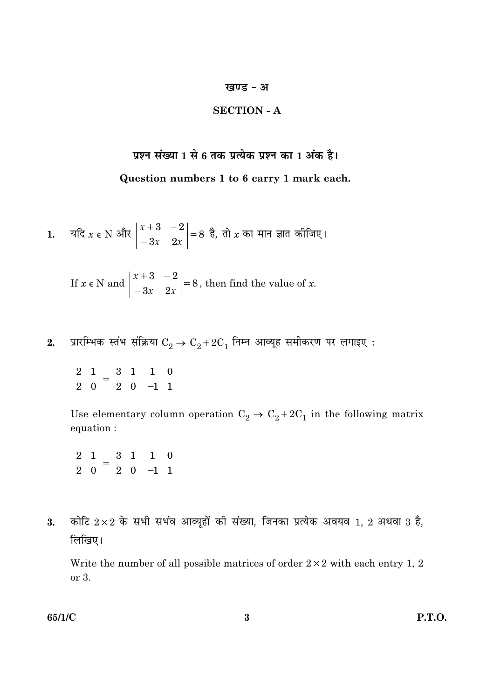#### खण्ड - अ

#### **SECTION - A**

## प्रश्न संख्या 1 से 6 तक प्रत्येक प्रश्न का 1 अंक है। Question numbers 1 to 6 carry 1 mark each.

1. 
$$
4\pi
$$
  $x \in N$   $3\pi$   $\begin{vmatrix} x+3 & -2 \\ -3x & 2x \end{vmatrix} = 8$   $\frac{3}{6}$ ,  $\pi$   $x$   $\pi$   $\pi$   $\pi$   $\pi$   $\pi$   $\pi$   $\pi$   $\pi$   $\pi$   $\pi$   $\pi$   $\pi$ 

If  $x \in N$  and  $\begin{vmatrix} x+3 & -2 \\ -3x & 2x \end{vmatrix} = 8$ , then find the value of x.

प्रारम्भिक स्तंभ संक्रिया  $\mathrm{C}_2 \rightarrow \mathrm{C}_2 + 2 \mathrm{C}_1$  निम्न आव्यूह समीकरण पर लगाइए :  $2.$ 

 $\begin{pmatrix} 2 & 1 \\ 2 & 0 \end{pmatrix} = \begin{pmatrix} 3 & 1 \\ 2 & 0 \end{pmatrix} \begin{pmatrix} 1 & 0 \\ -1 & 1 \end{pmatrix}$ 

Use elementary column operation  $C_2 \rightarrow C_2 + 2C_1$  in the following matrix equation :

 $\begin{pmatrix} 2 & 1 \\ 2 & 0 \end{pmatrix} = \begin{pmatrix} 3 & 1 \\ 2 & 0 \end{pmatrix} \begin{pmatrix} 1 & 0 \\ -1 & 1 \end{pmatrix}$ 

कोटि  $2\times 2$  के सभी सभंव आव्यूहों की संख्या, जिनका प्रत्येक अवयव 1, 2 अथवा 3 है, 3. लिखिए।

Write the number of all possible matrices of order  $2 \times 2$  with each entry 1, 2 or 3.

65/1/C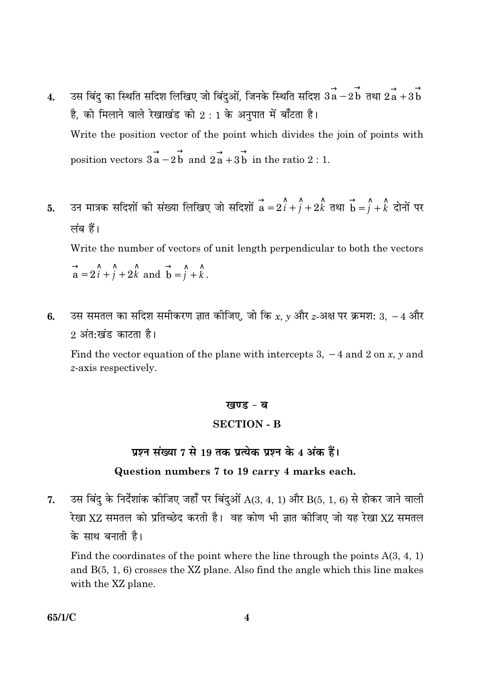- उस बिंदु का स्थिति सदिश लिखिए जो बिंदुओं, जिनके स्थिति सदिश  $\vec{a} \, \overrightarrow{a} 2 \, \overrightarrow{b} \,$  तथा  $2 \, \overrightarrow{a} + 3 \, \overrightarrow{b}$  $\overline{4}$ . है, को मिलाने वाले रेखाखंड को 2:1 के अनुपात में बाँटता है। Write the position vector of the point which divides the join of points with position vectors  $3a - 2b$  and  $2a + 3b$  in the ratio 2 : 1.
- उन मात्रक सदिशों की संख्या लिखिए जो सदिशों  $\overrightarrow{a}=2\hat{i}+\hat{j}+2\hat{k}$  तथा  $\overrightarrow{b}=\hat{j}+\hat{k}$  दोनों पर 5. लंब हैं। Write the number of vectors of unit length perpendicular to both the vectors

 $\vec{a} = 2\hat{i} + \hat{j} + 2\hat{k}$  and  $\vec{b} = \hat{j} + \hat{k}$ .

उस समतल का सदिश समीकरण ज्ञात कीजिए, जो कि  $x, y$  और  $z$ -अक्ष पर क्रमश: 3,  $-4$  और 6. 2 अंत∙खंड काटता है।

Find the vector equation of the plane with intercepts 3,  $-4$  and 2 on x, y and z-axis respectively.

#### खण्ड - ब

#### **SECTION - B**

#### प्रश्न संख्या 7 से 19 तक प्रत्येक प्रश्न के 4 अंक हैं।

#### Question numbers 7 to 19 carry 4 marks each.

उस बिंदु के निर्देशांक कीजिए जहाँ पर बिंदुओं  $A(3, 4, 1)$  और  $B(5, 1, 6)$  से होकर जाने वाली  $\overline{7}$ . रेखा XZ समतल को प्रतिच्छेद करती है। वह कोण भी ज्ञात कीजिए जो यह रेखा XZ समतल के साथ बनाती है।

Find the coordinates of the point where the line through the points  $A(3, 4, 1)$ and  $B(5, 1, 6)$  crosses the XZ plane. Also find the angle which this line makes with the XZ plane.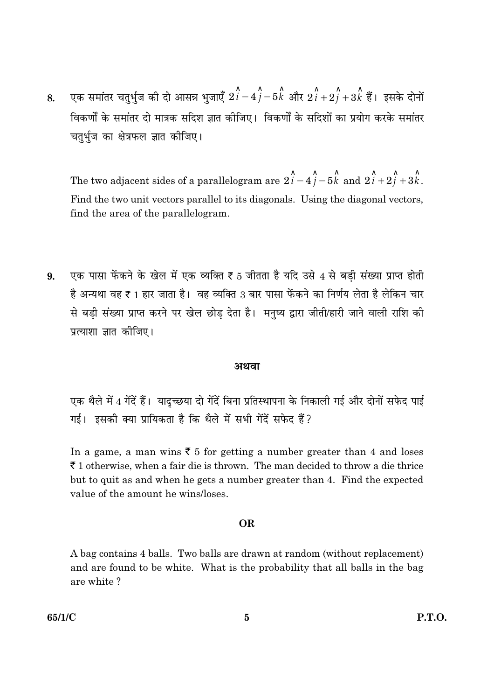एक समांतर चतुर्भुज की दो आसन्न भुजाएँ  $2\hat i-4\hat j-5\hat k$  और  $2\hat i+2\hat i+3\hat k$  हैं। इसके दोनों 8. विकर्णों के समांतर दो मात्रक सदिश ज्ञात कीजिए। विकर्णों के सदिशों का प्रयोग करके समांतर चतुर्भुज का क्षेत्रफल ज्ञात कोजिए।

The two adjacent sides of a parallelogram are  $2\hat{i} - 4\hat{j} - 5\hat{k}$  and  $2\hat{i} + 2\hat{j} + 3\hat{k}$ . Find the two unit vectors parallel to its diagonals. Using the diagonal vectors, find the area of the parallelogram.

एक पासा फेंकने के खेल में एक व्यक्ति ₹ 5 जीतता है यदि उसे 4 से बड़ी संख्या प्राप्त होती 9. है अन्यथा वह ₹ 1 हार जाता है। वह व्यक्ति 3 बार पासा फेंकने का निर्णय लेता है लेकिन चार से बड़ी संख्या प्राप्त करने पर खेल छोड़ देता है। मनुष्य द्वारा जीती/हारी जाने वाली राशि की प्रत्याशा ज्ञात कोजिए।

#### अथवा

एक थैले में 4 गेंदें हैं। यादुच्छया दो गेंदें बिना प्रतिस्थापना के निकाली गई और दोनों सफेद पाई गई। इसकी क्या प्रायिकता है कि थैले में सभी गेंदें सफेद हैं?

In a game, a man wins  $\bar{\xi}$  5 for getting a number greater than 4 and loses  $\bar{\tau}$  1 otherwise, when a fair die is thrown. The man decided to throw a die thrice but to quit as and when he gets a number greater than 4. Find the expected value of the amount he wins/loses.

#### **OR**

A bag contains 4 balls. Two balls are drawn at random (without replacement) and are found to be white. What is the probability that all balls in the bag are white?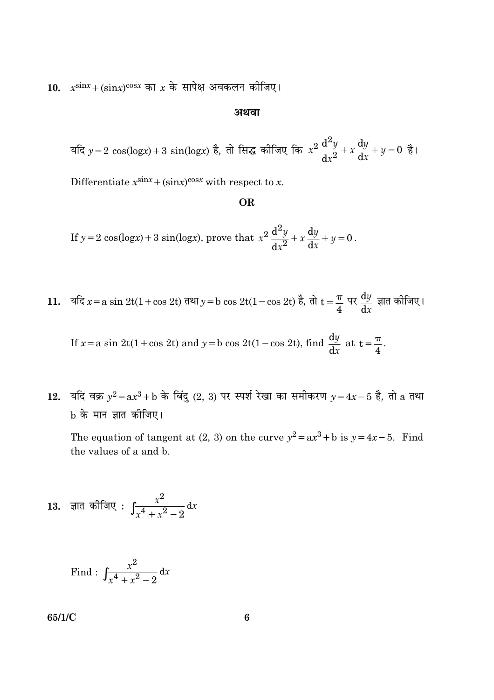10.  $x^{\text{sin}x} + (\text{sin}x)^{\text{cos}x}$  का  $x$  के सापेक्ष अवकलन कीजिए।

#### अथवा

यदि  $y = 2 \cos(\log x) + 3 \sin(\log x)$  है, तो सिद्ध कीजिए कि  $x^2 \frac{d^2y}{dx^2} + x \frac{dy}{dx} + y = 0$  है।

Differentiate  $x^{\text{sin}x} + (\text{sin}x)^{\text{cos}x}$  with respect to x.

#### **OR**

If  $y = 2 \cos(\log x) + 3 \sin(\log x)$ , prove that  $x^2 \frac{d^2y}{dx^2} + x \frac{dy}{dx} + y = 0$ .

11. यदि  $x = a \sin 2t(1 + \cos 2t)$  तथा  $y = b \cos 2t(1 - \cos 2t)$  है, तो  $t = \frac{\pi}{4}$  पर  $\frac{dy}{dx}$  ज्ञात कोजिए।

If 
$$
x = a \sin 2t(1 + \cos 2t)
$$
 and  $y = b \cos 2t(1 - \cos 2t)$ , find  $\frac{dy}{dx}$  at  $t = \frac{\pi}{4}$ 

12. यदि वक्र  $y^2 = ax^3 + b$  के बिंदु (2, 3) पर स्पर्श रेखा का समीकरण  $y = 4x - 5$  है, तो a तथा b के मान ज्ञात कीजिए।

The equation of tangent at (2, 3) on the curve  $y^2 = ax^3 + b$  is  $y = 4x - 5$ . Find the values of a and b.

13. ज्ञात कोजिए : 
$$
\int \frac{x^2}{x^4 + x^2 - 2} dx
$$

Find: 
$$
\int \frac{x^2}{x^4 + x^2 - 2} dx
$$

65/1/C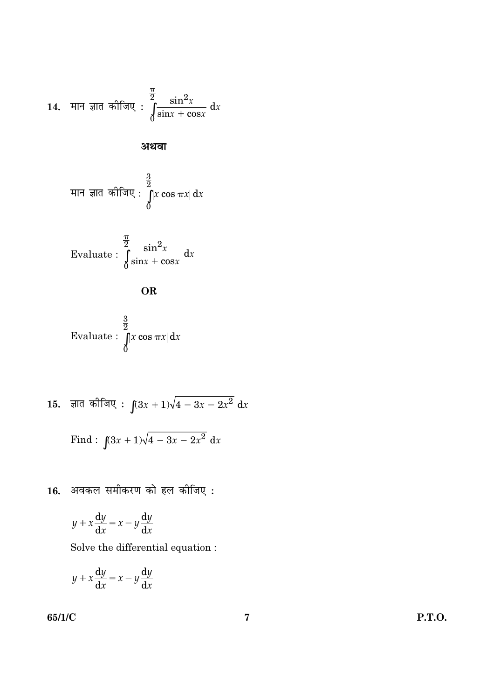14. मान ज्ञात कोजिए : 
$$
\int_{0}^{\frac{\pi}{2}} \frac{\sin^2 x}{\sin x + \cos x} dx
$$

अथवा

मान ज्ञात कीजिए : 
$$
\int_{0}^{\frac{3}{2}} |x \cos \pi x| dx
$$

Evaluate: 
$$
\int_{0}^{\frac{\pi}{2}} \frac{\sin^2 x}{\sin x + \cos x} dx
$$

$$
\mathbf{OR} \quad
$$

Evaluate: 
$$
\int_{0}^{\frac{3}{2}} |x \cos \pi x| dx
$$

15. 
$$
\overline{a}
$$
 कीजि $\overline{a}$ :  $\int (3x+1)\sqrt{4-3x-2x^2} dx$ 

Find: 
$$
\int (3x+1)\sqrt{4-3x-2x^2} dx
$$

 $16.$  अवकल समीकरण को हल कीजिए :

$$
y + x\frac{\mathrm{d}y}{\mathrm{d}x} = x - y\frac{\mathrm{d}y}{\mathrm{d}x}
$$

Solve the differential equation :  $% \left\vert \cdot \right\rangle$ 

$$
y + x\frac{\mathrm{d}y}{\mathrm{d}x} = x - y\frac{\mathrm{d}y}{\mathrm{d}x}
$$

65/1/C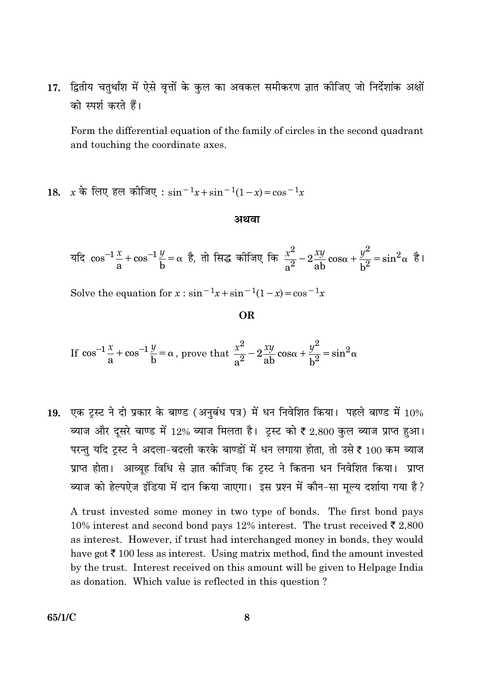17. द्वितीय चतुर्थांश में ऐसे वृत्तों के कुल का अवकल समीकरण ज्ञात कीजिए जो निर्देशांक अक्षों को स्पर्श करते हैं।

Form the differential equation of the family of circles in the second quadrant and touching the coordinate axes.

18. 
$$
x \stackrel{.}{\sim} \sqrt{6\pi}
$$
 हूल कीजि $\sqrt{4}$  :  $\sin^{-1}x + \sin^{-1}(1-x) = \cos^{-1}x$ 

#### अथवा

यदि 
$$
\cos^{-1}\frac{x}{a} + \cos^{-1}\frac{y}{b} = \alpha
$$
 है, तो सिद्ध कोजिए कि  $\frac{x^2}{a^2} - 2\frac{xy}{ab}\cos\alpha + \frac{y^2}{b^2} = \sin^2\alpha$  है।

Solve the equation for  $x : sin^{-1}x + sin^{-1}(1-x) = cos^{-1}x$ 

**OR** 

If  $\cos^{-1}\frac{x}{a} + \cos^{-1}\frac{y}{b} = \alpha$ , prove that  $\frac{x^2}{a^2} - 2\frac{xy}{ab}\cos\alpha + \frac{y^2}{b^2} = \sin^2\alpha$ 

19. एक ट्रस्ट ने दो प्रकार के बाण्ड (अनुबंध पत्र) में धन निवेशित किया। पहले बाण्ड में  $10\%$ ब्याज और दूसरे बाण्ड में 12% ब्याज मिलता है। ट्रस्ट को ₹ 2,800 कुल ब्याज प्राप्त हुआ। परन्तु यदि ट्रस्ट ने अदला-बदली करके बाण्डों में धन लगाया होता, तो उसे ₹ 100 कम ब्याज प्राप्त होता। आव्युह विधि से ज्ञात कीजिए कि ट्रस्ट ने कितना धन निवेशित किया। प्राप्त ब्याज को हेल्पऐज इंडिया में दान किया जाएगा। इस प्रश्न में कौन-सा मुल्य दर्शाया गया है?

A trust invested some money in two type of bonds. The first bond pays 10% interest and second bond pays 12% interest. The trust received  $\bar{\epsilon}$  2,800 as interest. However, if trust had interchanged money in bonds, they would have got  $\bar{\tau}$  100 less as interest. Using matrix method, find the amount invested by the trust. Interest received on this amount will be given to Helpage India as donation. Which value is reflected in this question?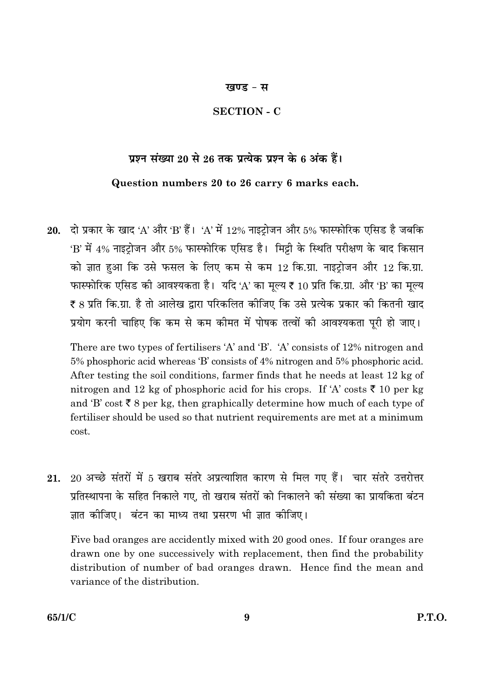#### खण्ड - स

#### **SECTION - C**

#### प्रश्न संख्या 20 से 26 तक प्रत्येक प्रश्न के 6 अंक हैं।

#### Question numbers 20 to 26 carry 6 marks each.

20. दो प्रकार के खाद 'A' और 'B' हैं। 'A' में 12% नाइटोजन और 5% फास्फोरिक एसिड है जबकि 'B' में 4% नाइट़ोजन और 5% फास्फोरिक एसिड है। मिट्टी के स्थिति परीक्षण के बाद किसान को ज्ञात हुआ कि उसे फसल के लिए कम से कम 12 कि.ग्रा. नाइट्रोजन और 12 कि.ग्रा. फास्फोरिक एसिड की आवश्यकता है। यदि 'A' का मुल्य ₹ 10 प्रति कि.ग्रा. और 'B' का मुल्य ₹ 8 प्रति कि.ग्रा. है तो आलेख द्वारा परिकलित कीजिए कि उसे प्रत्येक प्रकार की कितनी खाद प्रयोग करनी चाहिए कि कम से कम कीमत में पोषक तत्वों की आवश्यकता पूरी हो जाए।

There are two types of fertilisers 'A' and 'B'. 'A' consists of 12% nitrogen and 5% phosphoric acid whereas 'B' consists of 4% nitrogen and 5% phosphoric acid. After testing the soil conditions, farmer finds that he needs at least 12 kg of nitrogen and 12 kg of phosphoric acid for his crops. If 'A' costs  $\bar{\tau}$  10 per kg and 'B' cost  $\bar{\xi}$  8 per kg, then graphically determine how much of each type of fertiliser should be used so that nutrient requirements are met at a minimum cost.

20 अच्छे संतरों में 5 खराब संतरे अप्रत्याशित कारण से मिल गए हैं। चार संतरे उत्तरोत्तर 21. प्रतिस्थापना के सहित निकाले गए. तो खराब संतरों को निकालने की संख्या का प्रायकिता बंटन ज्ञात कीजिए। बंटन का माध्य तथा प्रसरण भी ज्ञात कीजिए।

Five bad oranges are accidently mixed with 20 good ones. If four oranges are drawn one by one successively with replacement, then find the probability distribution of number of bad oranges drawn. Hence find the mean and variance of the distribution.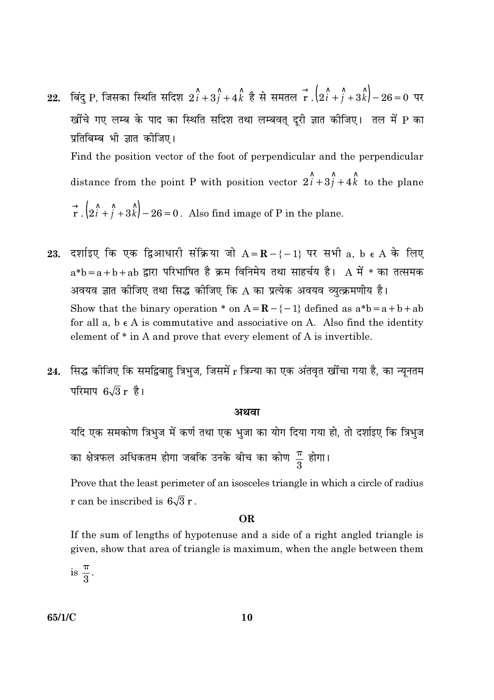- 22. बिंदु P, जिसका स्थिति सदिश  $2\hat{i}+3\hat{j}+4\hat{k}$  है से समतल  $\stackrel{\rightarrow}{\mathbf{r}}$ . $\left(2\hat{i}+\hat{j}+3\hat{k}\right)-26=0$  पर खींचे गए लम्ब के पाद का स्थिति सदिश तथा लम्बवत् दूरी ज्ञात कीजिए। तल में P का प्रतिबिम्ब भी ज्ञात कीजिए। Find the position vector of the foot of perpendicular and the perpendicular distance from the point P with position vector  $2\hat{i} + 3\hat{j} + 4\hat{k}$  to the plane  $\vec{r}$ .  $(2\hat{i} + \hat{j} + 3\hat{k}) - 26 = 0$ . Also find image of P in the plane.
- दर्शाइए कि एक द्विआधारी संक्रिया जो  $A = \mathbf{R} \{-1\}$  पर सभी a, b  $\epsilon$  A के लिए 23.  $a*b = a + b + ab$  द्वारा परिभाषित है क्रम विनिमेय तथा साहर्चय है।  $A$  में  $*$  का तत्समक अवयव ज्ञात कीजिए तथा सिद्ध कीजिए कि A का प्रत्येक अवयव व्युत्क्रमणीय है। Show that the binary operation \* on  $A = \mathbb{R} - \{-1\}$  defined as  $a^*b = a + b + ab$ for all  $a, b \in A$  is commutative and associative on A. Also find the identity element of \* in A and prove that every element of A is invertible.
- 24. सिद्ध कीजिए कि समद्विबाहु त्रिभुज, जिसमें r त्रिज्या का एक अंतवृत खींचा गया है, का न्यूनतम परिमाप  $6\sqrt{3}$  r है।

#### अथवा

यदि एक समकोण त्रिभुज में कर्ण तथा एक भुजा का योग दिया गया हो, तो दर्शाइए कि त्रिभुज का क्षेत्रफल अधिकतम होगा जबकि उनके बीच का कोण  $\frac{\pi}{3}$  होगा।

Prove that the least perimeter of an isosceles triangle in which a circle of radius r can be inscribed is  $6\sqrt{3}$  r.

#### OR.

If the sum of lengths of hypotenuse and a side of a right angled triangle is given, show that area of triangle is maximum, when the angle between them

is  $\frac{\pi}{3}$ .